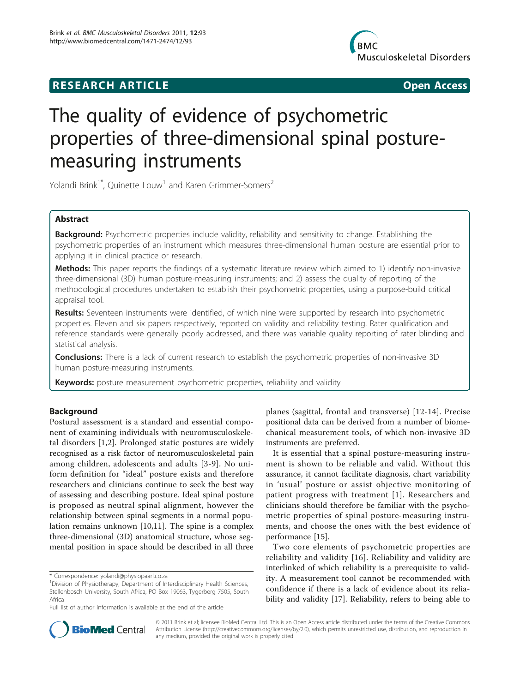# **RESEARCH ARTICLE CONSUMING ACCESS**



# The quality of evidence of psychometric properties of three-dimensional spinal posturemeasuring instruments

Yolandi Brink<sup>1\*</sup>, Ouinette Louw<sup>1</sup> and Karen Grimmer-Somers<sup>2</sup>

## Abstract

Background: Psychometric properties include validity, reliability and sensitivity to change. Establishing the psychometric properties of an instrument which measures three-dimensional human posture are essential prior to applying it in clinical practice or research.

Methods: This paper reports the findings of a systematic literature review which aimed to 1) identify non-invasive three-dimensional (3D) human posture-measuring instruments; and 2) assess the quality of reporting of the methodological procedures undertaken to establish their psychometric properties, using a purpose-build critical appraisal tool.

Results: Seventeen instruments were identified, of which nine were supported by research into psychometric properties. Eleven and six papers respectively, reported on validity and reliability testing. Rater qualification and reference standards were generally poorly addressed, and there was variable quality reporting of rater blinding and statistical analysis.

**Conclusions:** There is a lack of current research to establish the psychometric properties of non-invasive 3D human posture-measuring instruments.

Keywords: posture measurement psychometric properties, reliability and validity

## Background

Postural assessment is a standard and essential component of examining individuals with neuromusculoskeletal disorders [[1,2](#page-8-0)]. Prolonged static postures are widely recognised as a risk factor of neuromusculoskeletal pain among children, adolescents and adults [[3-](#page-8-0)[9](#page-9-0)]. No uniform definition for "ideal" posture exists and therefore researchers and clinicians continue to seek the best way of assessing and describing posture. Ideal spinal posture is proposed as neutral spinal alignment, however the relationship between spinal segments in a normal population remains unknown [[10,11\]](#page-9-0). The spine is a complex three-dimensional (3D) anatomical structure, whose segmental position in space should be described in all three

\* Correspondence: [yolandi@physiopaarl.co.za](mailto:yolandi@physiopaarl.co.za)

planes (sagittal, frontal and transverse) [\[12](#page-9-0)-[14](#page-9-0)]. Precise positional data can be derived from a number of biomechanical measurement tools, of which non-invasive 3D instruments are preferred.

It is essential that a spinal posture-measuring instrument is shown to be reliable and valid. Without this assurance, it cannot facilitate diagnosis, chart variability in 'usual' posture or assist objective monitoring of patient progress with treatment [[1\]](#page-8-0). Researchers and clinicians should therefore be familiar with the psychometric properties of spinal posture-measuring instruments, and choose the ones with the best evidence of performance [[15](#page-9-0)].

Two core elements of psychometric properties are reliability and validity [[16](#page-9-0)]. Reliability and validity are interlinked of which reliability is a prerequisite to validity. A measurement tool cannot be recommended with confidence if there is a lack of evidence about its reliability and validity [[17\]](#page-9-0). Reliability, refers to being able to



© 2011 Brink et al; licensee BioMed Central Ltd. This is an Open Access article distributed under the terms of the Creative Commons Attribution License [\(http://creativecommons.org/licenses/by/2.0](http://creativecommons.org/licenses/by/2.0)), which permits unrestricted use, distribution, and reproduction in any medium, provided the original work is properly cited.

<sup>&</sup>lt;sup>1</sup> Division of Physiotherapy, Department of Interdisciplinary Health Sciences, Stellenbosch University, South Africa, PO Box 19063, Tygerberg 7505, South Africa

Full list of author information is available at the end of the article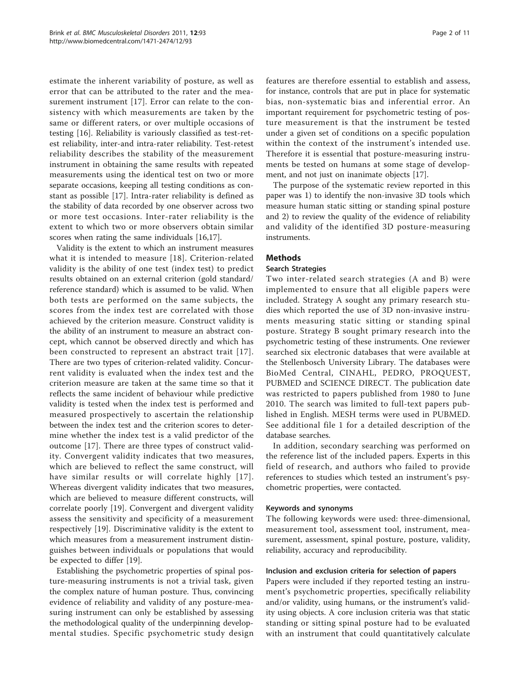estimate the inherent variability of posture, as well as error that can be attributed to the rater and the measurement instrument [[17](#page-9-0)]. Error can relate to the consistency with which measurements are taken by the same or different raters, or over multiple occasions of testing [[16\]](#page-9-0). Reliability is variously classified as test-retest reliability, inter-and intra-rater reliability. Test-retest reliability describes the stability of the measurement instrument in obtaining the same results with repeated measurements using the identical test on two or more separate occasions, keeping all testing conditions as constant as possible [\[17](#page-9-0)]. Intra-rater reliability is defined as the stability of data recorded by one observer across two or more test occasions. Inter-rater reliability is the extent to which two or more observers obtain similar scores when rating the same individuals [\[16,17\]](#page-9-0).

Validity is the extent to which an instrument measures what it is intended to measure [[18](#page-9-0)]. Criterion-related validity is the ability of one test (index test) to predict results obtained on an external criterion (gold standard/ reference standard) which is assumed to be valid. When both tests are performed on the same subjects, the scores from the index test are correlated with those achieved by the criterion measure. Construct validity is the ability of an instrument to measure an abstract concept, which cannot be observed directly and which has been constructed to represent an abstract trait [[17\]](#page-9-0). There are two types of criterion-related validity. Concurrent validity is evaluated when the index test and the criterion measure are taken at the same time so that it reflects the same incident of behaviour while predictive validity is tested when the index test is performed and measured prospectively to ascertain the relationship between the index test and the criterion scores to determine whether the index test is a valid predictor of the outcome [[17\]](#page-9-0). There are three types of construct validity. Convergent validity indicates that two measures, which are believed to reflect the same construct, will have similar results or will correlate highly [[17\]](#page-9-0). Whereas divergent validity indicates that two measures, which are believed to measure different constructs, will correlate poorly [[19\]](#page-9-0). Convergent and divergent validity assess the sensitivity and specificity of a measurement respectively [\[19](#page-9-0)]. Discriminative validity is the extent to which measures from a measurement instrument distinguishes between individuals or populations that would be expected to differ [[19\]](#page-9-0).

Establishing the psychometric properties of spinal posture-measuring instruments is not a trivial task, given the complex nature of human posture. Thus, convincing evidence of reliability and validity of any posture-measuring instrument can only be established by assessing the methodological quality of the underpinning developmental studies. Specific psychometric study design features are therefore essential to establish and assess, for instance, controls that are put in place for systematic bias, non-systematic bias and inferential error. An important requirement for psychometric testing of posture measurement is that the instrument be tested under a given set of conditions on a specific population within the context of the instrument's intended use. Therefore it is essential that posture-measuring instruments be tested on humans at some stage of development, and not just on inanimate objects [\[17\]](#page-9-0).

The purpose of the systematic review reported in this paper was 1) to identify the non-invasive 3D tools which measure human static sitting or standing spinal posture and 2) to review the quality of the evidence of reliability and validity of the identified 3D posture-measuring instruments.

#### Methods

#### Search Strategies

Two inter-related search strategies (A and B) were implemented to ensure that all eligible papers were included. Strategy A sought any primary research studies which reported the use of 3D non-invasive instruments measuring static sitting or standing spinal posture. Strategy B sought primary research into the psychometric testing of these instruments. One reviewer searched six electronic databases that were available at the Stellenbosch University Library. The databases were BioMed Central, CINAHL, PEDRO, PROQUEST, PUBMED and SCIENCE DIRECT. The publication date was restricted to papers published from 1980 to June 2010. The search was limited to full-text papers published in English. MESH terms were used in PUBMED. See additional file 1 for a detailed description of the database searches.

In addition, secondary searching was performed on the reference list of the included papers. Experts in this field of research, and authors who failed to provide references to studies which tested an instrument's psychometric properties, were contacted.

#### Keywords and synonyms

The following keywords were used: three-dimensional, measurement tool, assessment tool, instrument, measurement, assessment, spinal posture, posture, validity, reliability, accuracy and reproducibility.

#### Inclusion and exclusion criteria for selection of papers

Papers were included if they reported testing an instrument's psychometric properties, specifically reliability and/or validity, using humans, or the instrument's validity using objects. A core inclusion criteria was that static standing or sitting spinal posture had to be evaluated with an instrument that could quantitatively calculate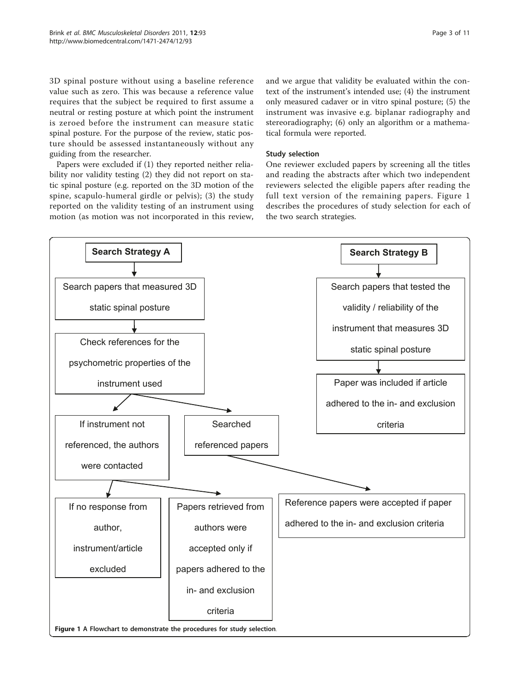3D spinal posture without using a baseline reference value such as zero. This was because a reference value requires that the subject be required to first assume a neutral or resting posture at which point the instrument is zeroed before the instrument can measure static spinal posture. For the purpose of the review, static posture should be assessed instantaneously without any guiding from the researcher.

Papers were excluded if (1) they reported neither reliability nor validity testing (2) they did not report on static spinal posture (e.g. reported on the 3D motion of the spine, scapulo-humeral girdle or pelvis); (3) the study reported on the validity testing of an instrument using motion (as motion was not incorporated in this review,

and we argue that validity be evaluated within the context of the instrument's intended use; (4) the instrument only measured cadaver or in vitro spinal posture; (5) the instrument was invasive e.g. biplanar radiography and stereoradiography; (6) only an algorithm or a mathematical formula were reported.

#### Study selection

One reviewer excluded papers by screening all the titles and reading the abstracts after which two independent reviewers selected the eligible papers after reading the full text version of the remaining papers. Figure 1 describes the procedures of study selection for each of the two search strategies.

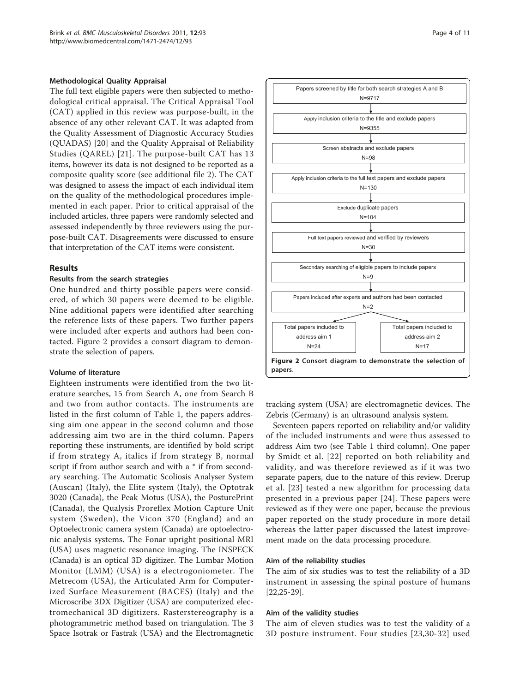#### Methodological Quality Appraisal

The full text eligible papers were then subjected to methodological critical appraisal. The Critical Appraisal Tool (CAT) applied in this review was purpose-built, in the absence of any other relevant CAT. It was adapted from the Quality Assessment of Diagnostic Accuracy Studies (QUADAS) [[20\]](#page-9-0) and the Quality Appraisal of Reliability Studies (QAREL) [[21](#page-9-0)]. The purpose-built CAT has 13 items, however its data is not designed to be reported as a composite quality score (see additional file 2). The CAT was designed to assess the impact of each individual item on the quality of the methodological procedures implemented in each paper. Prior to critical appraisal of the included articles, three papers were randomly selected and assessed independently by three reviewers using the purpose-built CAT. Disagreements were discussed to ensure that interpretation of the CAT items were consistent.

#### Results

#### Results from the search strategies

One hundred and thirty possible papers were considered, of which 30 papers were deemed to be eligible. Nine additional papers were identified after searching the reference lists of these papers. Two further papers were included after experts and authors had been contacted. Figure 2 provides a consort diagram to demonstrate the selection of papers.

#### Volume of literature

Eighteen instruments were identified from the two literature searches, 15 from Search A, one from Search B and two from author contacts. The instruments are listed in the first column of Table [1,](#page-4-0) the papers addressing aim one appear in the second column and those addressing aim two are in the third column. Papers reporting these instruments, are identified by bold script if from strategy A, italics if from strategy B, normal script if from author search and with a \* if from secondary searching. The Automatic Scoliosis Analyser System (Auscan) (Italy), the Elite system (Italy), the Optotrak 3020 (Canada), the Peak Motus (USA), the PosturePrint (Canada), the Qualysis Proreflex Motion Capture Unit system (Sweden), the Vicon 370 (England) and an Optoelectronic camera system (Canada) are optoelectronic analysis systems. The Fonar upright positional MRI (USA) uses magnetic resonance imaging. The INSPECK (Canada) is an optical 3D digitizer. The Lumbar Motion Monitor (LMM) (USA) is a electrogoniometer. The Metrecom (USA), the Articulated Arm for Computerized Surface Measurement (BACES) (Italy) and the Microscribe 3DX Digitizer (USA) are computerized electromechanical 3D digitizers. Rasterstereography is a photogrammetric method based on triangulation. The 3 Space Isotrak or Fastrak (USA) and the Electromagnetic



tracking system (USA) are electromagnetic devices. The Zebris (Germany) is an ultrasound analysis system.

Seventeen papers reported on reliability and/or validity of the included instruments and were thus assessed to address Aim two (see Table [1](#page-4-0) third column). One paper by Smidt et al. [[22\]](#page-9-0) reported on both reliability and validity, and was therefore reviewed as if it was two separate papers, due to the nature of this review. Drerup et al. [\[23\]](#page-9-0) tested a new algorithm for processing data presented in a previous paper [\[24\]](#page-9-0). These papers were reviewed as if they were one paper, because the previous paper reported on the study procedure in more detail whereas the latter paper discussed the latest improvement made on the data processing procedure.

#### Aim of the reliability studies

The aim of six studies was to test the reliability of a 3D instrument in assessing the spinal posture of humans [[22,25-29\]](#page-9-0).

#### Aim of the validity studies

The aim of eleven studies was to test the validity of a 3D posture instrument. Four studies [[23](#page-9-0),[30](#page-9-0)-[32\]](#page-9-0) used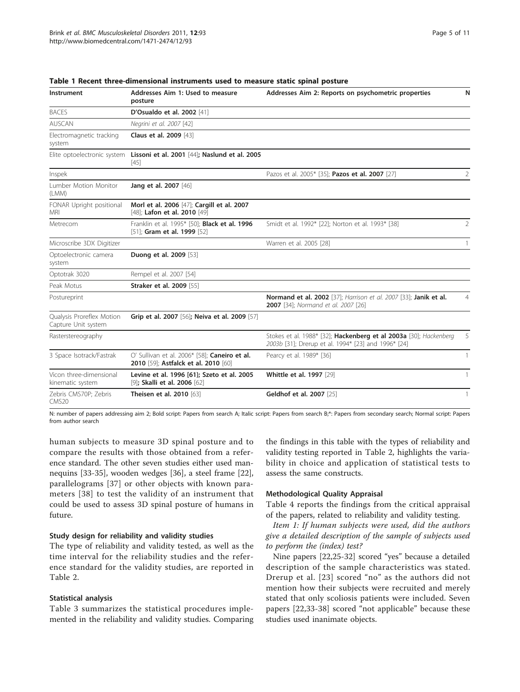| Instrument                                       | Addresses Aim 1: Used to measure<br>posture                                           | Addresses Aim 2: Reports on psychometric properties                                                                      |                |  |  |  |  |
|--------------------------------------------------|---------------------------------------------------------------------------------------|--------------------------------------------------------------------------------------------------------------------------|----------------|--|--|--|--|
| <b>BACES</b>                                     | D'Osualdo et al. 2002 [41]                                                            |                                                                                                                          |                |  |  |  |  |
| <b>AUSCAN</b>                                    | Negrini et al. 2007 [42]                                                              |                                                                                                                          |                |  |  |  |  |
| Electromagnetic tracking<br>system               | Claus et al. 2009 [43]                                                                |                                                                                                                          |                |  |  |  |  |
| Elite optoelectronic system                      | Lissoni et al. 2001 [44]; Naslund et al. 2005<br>$[45]$                               |                                                                                                                          |                |  |  |  |  |
| Inspek                                           |                                                                                       | Pazos et al. 2005* [35]; Pazos et al. 2007 [27]                                                                          | 2              |  |  |  |  |
| Lumber Motion Monitor<br>(LMM)                   | Jang et al. 2007 [46]                                                                 |                                                                                                                          |                |  |  |  |  |
| FONAR Upright positional<br><b>MRI</b>           | Morl et al. 2006 [47]; Cargill et al. 2007<br>[48]; Lafon et al. 2010 [49]            |                                                                                                                          |                |  |  |  |  |
| Metrecom                                         | Franklin et al. 1995* [50]; <b>Black et al. 1996</b><br>[51]; Gram et al. 1999 [52]   | Smidt et al. 1992* [22]; Norton et al. 1993* [38]                                                                        | 2              |  |  |  |  |
| Microscribe 3DX Digitizer                        |                                                                                       | Warren et al. 2005 [28]                                                                                                  | $\mathbf{1}$   |  |  |  |  |
| Optoelectronic camera<br>system                  | <b>Duong et al. 2009</b> [53]                                                         |                                                                                                                          |                |  |  |  |  |
| Optotrak 3020                                    | Rempel et al. 2007 [54]                                                               |                                                                                                                          |                |  |  |  |  |
| Peak Motus                                       | <b>Straker et al. 2009</b> [55]                                                       |                                                                                                                          |                |  |  |  |  |
| Postureprint                                     |                                                                                       | <b>Normand et al. 2002</b> [37]; Harrison et al. 2007 [33]; Janik et al.<br>2007 [34]; Normand et al. 2007 [26]          | $\overline{4}$ |  |  |  |  |
| Qualysis Proreflex Motion<br>Capture Unit system | Grip et al. 2007 [56]; Neiva et al. 2009 [57]                                         |                                                                                                                          |                |  |  |  |  |
| Rasterstereography                               |                                                                                       | Stokes et al. 1988* [32]; Hackenberg et al 2003a [30]; Hackenberg<br>2003b [31]; Drerup et al. 1994* [23] and 1996* [24] | 5              |  |  |  |  |
| 3 Space Isotrack/Fastrak                         | O' Sullivan et al. 2006* [58]; Caneiro et al.<br>2010 [59]; Astfalck et al. 2010 [60] | Pearcy et al. 1989* [36]                                                                                                 | $\mathbf{1}$   |  |  |  |  |
| Vicon three-dimensional<br>kinematic system      | Levine et al. 1996 [61]; Szeto et al. 2005<br>[9]; Skalli et al. 2006 [62]            | <b>Whittle et al. 1997</b> [29]                                                                                          |                |  |  |  |  |
| Zebris CMS70P; Zebris<br>CMS <sub>20</sub>       | Theisen et al. 2010 [63]                                                              | Geldhof et al. 2007 [25]                                                                                                 | $\mathbf{1}$   |  |  |  |  |

#### <span id="page-4-0"></span>Table 1 Recent three-dimensional instruments used to measure static spinal posture

N: number of papers addressing aim 2; Bold script: Papers from search A; Italic script: Papers from search B;\*: Papers from secondary search; Normal script: Papers from author search

human subjects to measure 3D spinal posture and to compare the results with those obtained from a reference standard. The other seven studies either used mannequins [\[33-35](#page-9-0)], wooden wedges [[36\]](#page-9-0), a steel frame [\[22](#page-9-0)], parallelograms [[37\]](#page-9-0) or other objects with known parameters [[38\]](#page-9-0) to test the validity of an instrument that could be used to assess 3D spinal posture of humans in future.

#### Study design for reliability and validity studies

The type of reliability and validity tested, as well as the time interval for the reliability studies and the reference standard for the validity studies, are reported in Table [2](#page-5-0).

#### Statistical analysis

Table [3](#page-5-0) summarizes the statistical procedures implemented in the reliability and validity studies. Comparing

the findings in this table with the types of reliability and validity testing reported in Table [2,](#page-5-0) highlights the variability in choice and application of statistical tests to assess the same constructs.

#### Methodological Quality Appraisal

Table [4](#page-6-0) reports the findings from the critical appraisal of the papers, related to reliability and validity testing.

Item 1: If human subjects were used, did the authors give a detailed description of the sample of subjects used to perform the (index) test?

Nine papers [\[22,25-32](#page-9-0)] scored "yes" because a detailed description of the sample characteristics was stated. Drerup et al. [[23\]](#page-9-0) scored "no" as the authors did not mention how their subjects were recruited and merely stated that only scoliosis patients were included. Seven papers [[22,33-38](#page-9-0)] scored "not applicable" because these studies used inanimate objects.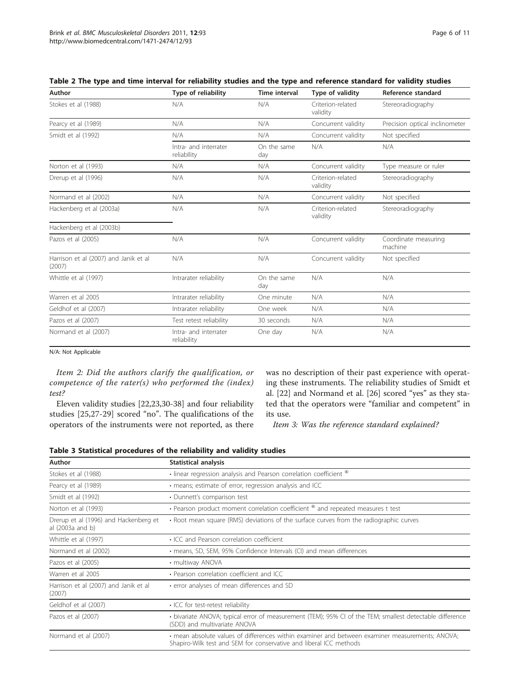| Author                                          | Type of reliability                  | <b>Time interval</b>                 | Type of validity              | Reference standard              |  |  |
|-------------------------------------------------|--------------------------------------|--------------------------------------|-------------------------------|---------------------------------|--|--|
| Stokes et al (1988)                             | N/A                                  | N/A                                  | Criterion-related<br>validity | Stereoradiography               |  |  |
| Pearcy et al (1989)                             | N/A                                  | N/A                                  | Concurrent validity           | Precision optical inclinometer  |  |  |
| Smidt et al (1992)                              | N/A                                  | N/A                                  | Concurrent validity           | Not specified                   |  |  |
|                                                 | Intra- and interrater<br>reliabllity | On the same<br>day                   | N/A                           | N/A                             |  |  |
| Norton et al (1993)                             | N/A                                  | N/A                                  | Concurrent validity           | Type measure or ruler           |  |  |
| Drerup et al (1996)                             | N/A                                  | N/A<br>Criterion-related<br>validity |                               | Stereoradiography               |  |  |
| Normand et al (2002)                            | N/A                                  | N/A                                  | Concurrent validity           | Not specified                   |  |  |
| Hackenberg et al (2003a)                        | N/A                                  | N/A                                  | Criterion-related<br>validity | Stereoradiography               |  |  |
| Hackenberg et al (2003b)                        |                                      |                                      |                               |                                 |  |  |
| Pazos et al (2005)                              | N/A                                  | N/A                                  | Concurrent validity           | Coordinate measuring<br>machine |  |  |
| Harrison et al (2007) and Janik et al<br>(2007) | N/A                                  | N/A                                  | Concurrent validity           | Not specified                   |  |  |
| Whittle et al (1997)                            | Intrarater reliability               | On the same<br>day                   | N/A                           | N/A                             |  |  |
| Warren et al 2005                               | Intrarater reliability               | One minute                           | N/A                           | N/A                             |  |  |
| Geldhof et al (2007)                            | Intrarater reliability               |                                      | N/A                           | N/A                             |  |  |
| Pazos et al (2007)                              | Test retest reliability              | 30 seconds                           | N/A                           | N/A                             |  |  |
| Normand et al (2007)                            | Intra- and interrater<br>reliability | One day                              | N/A                           | N/A                             |  |  |

<span id="page-5-0"></span>Table 2 The type and time interval for reliability studies and the type and reference standard for validity studies

N/A: Not Applicable

Item 2: Did the authors clarify the qualification, or competence of the rater(s) who performed the (index) test?

Eleven validity studies [\[22,23,30-38](#page-9-0)] and four reliability studies [[25,27-29\]](#page-9-0) scored "no". The qualifications of the operators of the instruments were not reported, as there

was no description of their past experience with operating these instruments. The reliability studies of Smidt et al. [\[22\]](#page-9-0) and Normand et al. [\[26\]](#page-9-0) scored "yes" as they stated that the operators were "familiar and competent" in its use.

Item 3: Was the reference standard explained?

|  |  |  | Table 3 Statistical procedures of the reliability and validity studies |  |  |  |  |  |  |
|--|--|--|------------------------------------------------------------------------|--|--|--|--|--|--|
|--|--|--|------------------------------------------------------------------------|--|--|--|--|--|--|

| Author                                                    | <b>Statistical analysis</b>                                                                                                                                           |  |  |  |  |  |  |
|-----------------------------------------------------------|-----------------------------------------------------------------------------------------------------------------------------------------------------------------------|--|--|--|--|--|--|
| Stokes et al (1988)                                       | • linear regression analysis and Pearson correlation coefficient ®                                                                                                    |  |  |  |  |  |  |
| Pearcy et al (1989)                                       | · means; estimate of error, regression analysis and ICC                                                                                                               |  |  |  |  |  |  |
| Smidt et al (1992)                                        | • Dunnett's comparison test                                                                                                                                           |  |  |  |  |  |  |
| Norton et al (1993)                                       | • Pearson product moment correlation coefficient ® and repeated measures t test                                                                                       |  |  |  |  |  |  |
| Drerup et al (1996) and Hackenberg et<br>al (2003a and b) | • Root mean square (RMS) deviations of the surface curves from the radiographic curves                                                                                |  |  |  |  |  |  |
| Whittle et al (1997)                                      | • ICC and Pearson correlation coefficient                                                                                                                             |  |  |  |  |  |  |
| Normand et al (2002)                                      | • means, SD, SEM, 95% Confidence Intervals (CI) and mean differences                                                                                                  |  |  |  |  |  |  |
| Pazos et al (2005)                                        | • multiway ANOVA                                                                                                                                                      |  |  |  |  |  |  |
| Warren et al 2005                                         | • Pearson correlation coefficient and ICC                                                                                                                             |  |  |  |  |  |  |
| Harrison et al (2007) and Janik et al<br>(2007)           | • error analyses of mean differences and SD                                                                                                                           |  |  |  |  |  |  |
| Geldhof et al (2007)                                      | • ICC for test-retest reliability                                                                                                                                     |  |  |  |  |  |  |
| Pazos et al (2007)                                        | • bivariate ANOVA; typical error of measurement (TEM); 95% CI of the TEM; smallest detectable difference<br>(SDD) and multivariate ANOVA                              |  |  |  |  |  |  |
| Normand et al (2007)                                      | • mean absolute values of differences within examiner and between examiner measurements; ANOVA;<br>Shapiro-Wilk test and SEM for conservative and liberal ICC methods |  |  |  |  |  |  |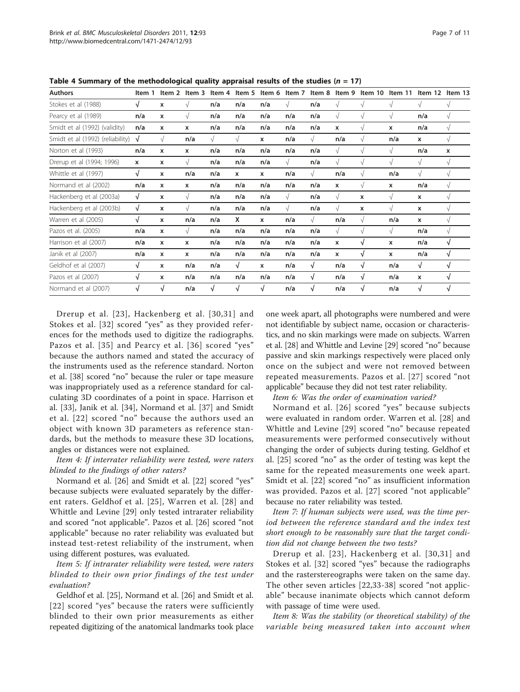Drerup et al. [[23](#page-9-0)], Hackenberg et al. [[30](#page-9-0),[31\]](#page-9-0) and Stokes et al. [[32](#page-9-0)] scored "yes" as they provided references for the methods used to digitize the radiographs. Pazos et al. [[35\]](#page-9-0) and Pearcy et al. [[36](#page-9-0)] scored "yes" because the authors named and stated the accuracy of the instruments used as the reference standard. Norton et al. [\[38\]](#page-9-0) scored "no" because the ruler or tape measure was inappropriately used as a reference standard for calculating 3D coordinates of a point in space. Harrison et al. [[33](#page-9-0)], Janik et al. [\[34](#page-9-0)], Normand et al. [\[37\]](#page-9-0) and Smidt et al. [[22\]](#page-9-0) scored "no" because the authors used an object with known 3D parameters as reference standards, but the methods to measure these 3D locations, angles or distances were not explained.

Item 4: If interrater reliability were tested, were raters blinded to the findings of other raters?

Normand et al. [[26](#page-9-0)] and Smidt et al. [[22\]](#page-9-0) scored "yes" because subjects were evaluated separately by the different raters. Geldhof et al. [[25](#page-9-0)], Warren et al. [[28\]](#page-9-0) and Whittle and Levine [[29\]](#page-9-0) only tested intrarater reliability and scored "not applicable". Pazos et al. [\[26](#page-9-0)] scored "not applicable" because no rater reliability was evaluated but instead test-retest reliability of the instrument, when using different postures, was evaluated.

Item 5: If intrarater reliability were tested, were raters blinded to their own prior findings of the test under evaluation?

Geldhof et al. [\[25](#page-9-0)], Normand et al. [[26\]](#page-9-0) and Smidt et al. [[22\]](#page-9-0) scored "yes" because the raters were sufficiently blinded to their own prior measurements as either repeated digitizing of the anatomical landmarks took place one week apart, all photographs were numbered and were not identifiable by subject name, occasion or characteristics, and no skin markings were made on subjects. Warren et al. [\[28\]](#page-9-0) and Whittle and Levine [[29](#page-9-0)] scored "no" because passive and skin markings respectively were placed only once on the subject and were not removed between repeated measurements. Pazos et al. [[27\]](#page-9-0) scored "not applicable" because they did not test rater reliability.

Item 6: Was the order of examination varied?

Normand et al. [[26](#page-9-0)] scored "yes" because subjects were evaluated in random order. Warren et al. [[28\]](#page-9-0) and Whittle and Levine [[29](#page-9-0)] scored "no" because repeated measurements were performed consecutively without changing the order of subjects during testing. Geldhof et al. [[25\]](#page-9-0) scored "no" as the order of testing was kept the same for the repeated measurements one week apart. Smidt et al. [[22\]](#page-9-0) scored "no" as insufficient information was provided. Pazos et al. [[27\]](#page-9-0) scored "not applicable" because no rater reliability was tested.

Item 7: If human subjects were used, was the time period between the reference standard and the index test short enough to be reasonably sure that the target condition did not change between the two tests?

Drerup et al. [[23](#page-9-0)], Hackenberg et al. [[30](#page-9-0),[31\]](#page-9-0) and Stokes et al. [\[32\]](#page-9-0) scored "yes" because the radiographs and the rasterstereographs were taken on the same day. The other seven articles [\[22](#page-9-0),[33-38\]](#page-9-0) scored "not applicable" because inanimate objects which cannot deform with passage of time were used.

Item 8: Was the stability (or theoretical stability) of the variable being measured taken into account when

<span id="page-6-0"></span>Table 4 Summary of the methodological quality appraisal results of the studies ( $n = 17$ )

| <b>Authors</b>                   | Item 1     | Item 2       | Item 3    | Item 4    | Item 5     | Item 6       | Item 7    | Item 8     | Item 9           | Item 10      | Item 11                   | Item 12      | Item 13      |
|----------------------------------|------------|--------------|-----------|-----------|------------|--------------|-----------|------------|------------------|--------------|---------------------------|--------------|--------------|
| Stokes et al (1988)              | $\sqrt{ }$ | $\mathsf{x}$ | $\sqrt{}$ | n/a       | n/a        | n/a          | $\sqrt{}$ | n/a        | $\sqrt{}$        | $\sqrt{ }$   | $\sqrt{ }$                | $\sqrt{}$    | $\sqrt{ }$   |
| Pearcy et al (1989)              | n/a        | $\mathsf{x}$ | $\sqrt{}$ | n/a       | n/a        | n/a          | n/a       | n/a        | $\sqrt{}$        | $\sqrt{ }$   | $\sqrt{ }$                | n/a          | λl           |
| Smidt et al (1992) (validity)    | n/a        | $\mathsf{x}$ | x         | n/a       | n/a        | n/a          | n/a       | n/a        | $\boldsymbol{x}$ | V            | $\mathbf{x}$              | n/a          |              |
| Smidt et al (1992) (reliability) | $\sqrt{ }$ | $\sqrt{}$    | n/a       | $\sqrt{}$ | $\sqrt{}$  | x            | n/a       | $\sqrt{}$  | n/a              | V            | n/a                       | x            | V            |
| Norton et al (1993)              | n/a        | $\mathsf{x}$ | x         | n/a       | n/a        | n/a          | n/a       | n/a        | $\sqrt{ }$       | $\sqrt{ }$   | $\sqrt{}$                 | n/a          | $\mathbf{x}$ |
| Drerup et al (1994; 1996)        | x          | x            | V         | n/a       | n/a        | n/a          | $\sqrt{}$ | n/a        | $\sqrt{ }$       | V            | $\sqrt{}$                 | $\sqrt{}$    |              |
| Whittle et al (1997)             | $\sqrt{ }$ | $\mathsf{x}$ | n/a       | n/a       | x          | x            | n/a       | V          | n/a              | V            | n/a                       | V            | V            |
| Normand et al (2002)             | n/a        | x            | x         | n/a       | n/a        | n/a          | n/a       | n/a        | $\boldsymbol{x}$ | $\sqrt{ }$   | $\boldsymbol{\mathsf{x}}$ | n/a          | V            |
| Hackenberg et al (2003a)         | $\sqrt{ }$ | $\mathbf{x}$ | $\sqrt{}$ | n/a       | n/a        | n/a          | $\sqrt{}$ | n/a        | $\sqrt{}$        | $\mathbf{x}$ | $\sqrt{ }$                | x            |              |
| Hackenberg et al (2003b)         | $\sqrt{ }$ | x            | $\sqrt{}$ | n/a       | n/a        | n/a          | $\sqrt{}$ | n/a        | $\sqrt{ }$       | x            | $\sqrt{}$                 | x            | $\sqrt{}$    |
| Warren et al (2005)              | $\sqrt{2}$ | $\mathsf{x}$ | n/a       | n/a       | X          | $\mathsf{x}$ | n/a       | $\sqrt{}$  | n/a              | $\sqrt{ }$   | n/a                       | $\mathsf{x}$ | $\sqrt{ }$   |
| Pazos et al. (2005)              | n/a        | X            | $\sqrt{}$ | n/a       | n/a        | n/a          | n/a       | n/a        | $\sqrt{}$        | $\sqrt{ }$   | $\sqrt{}$                 | n/a          | $\sqrt{ }$   |
| Harrison et al (2007)            | n/a        | $\mathsf{x}$ | x         | n/a       | n/a        | n/a          | n/a       | n/a        | $\boldsymbol{x}$ | $\sqrt{ }$   | $\mathsf{x}$              | n/a          | √            |
| Janik et al (2007)               | n/a        | $\mathsf{x}$ | x         | n/a       | n/a        | n/a          | n/a       | n/a        | $\boldsymbol{x}$ | V            | $\mathbf{x}$              | n/a          | $\sqrt{}$    |
| Geldhof et al (2007)             | $\sqrt{ }$ | $\mathbf{x}$ | n/a       | n/a       | $\sqrt{ }$ | x            | n/a       | $\sqrt{ }$ | n/a              | $\sqrt{ }$   | n/a                       | √            |              |
| Pazos et al (2007)               | $\sqrt{ }$ | $\mathsf{x}$ | n/a       | n/a       | n/a        | n/a          | n/a       | $\sqrt{ }$ | n/a              | $\sqrt{ }$   | n/a                       | X            | V            |
| Normand et al (2007)             |            | $\sqrt{ }$   | n/a       | √         | √          | √            | n/a       |            | n/a              | $\sqrt{ }$   | n/a                       | $\sqrt{}$    |              |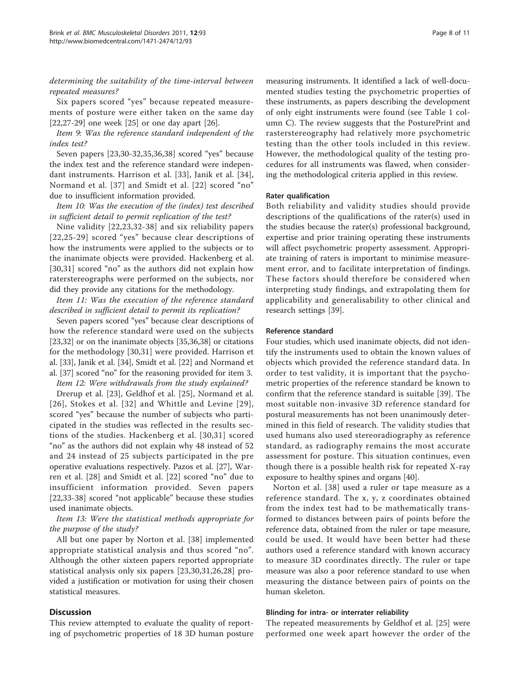determining the suitability of the time-interval between repeated measures?

Six papers scored "yes" because repeated measurements of posture were either taken on the same day [[22,27-29\]](#page-9-0) one week [\[25\]](#page-9-0) or one day apart [[26\]](#page-9-0).

Item 9: Was the reference standard independent of the index test?

Seven papers [[23,30-32](#page-9-0),[35,36,38\]](#page-9-0) scored "yes" because the index test and the reference standard were independant instruments. Harrison et al. [[33\]](#page-9-0), Janik et al. [[34](#page-9-0)], Normand et al. [[37](#page-9-0)] and Smidt et al. [\[22\]](#page-9-0) scored "no" due to insufficient information provided.

Item 10: Was the execution of the (index) test described in sufficient detail to permit replication of the test?

Nine validity [[22](#page-9-0),[23](#page-9-0),[32-38\]](#page-9-0) and six reliability papers [[22,25-29](#page-9-0)] scored "yes" because clear descriptions of how the instruments were applied to the subjects or to the inanimate objects were provided. Hackenberg et al. [[30,31](#page-9-0)] scored "no" as the authors did not explain how raterstereographs were performed on the subjects, nor did they provide any citations for the methodology.

Item 11: Was the execution of the reference standard described in sufficient detail to permit its replication?

Seven papers scored "yes" because clear descriptions of how the reference standard were used on the subjects [[23,32\]](#page-9-0) or on the inanimate objects [\[35,36,38\]](#page-9-0) or citations for the methodology [[30,31](#page-9-0)] were provided. Harrison et al. [[33](#page-9-0)], Janik et al. [[34\]](#page-9-0), Smidt et al. [[22](#page-9-0)] and Normand et al. [[37](#page-9-0)] scored "no" for the reasoning provided for item 3. Item 12: Were withdrawals from the study explained?

Drerup et al. [\[23](#page-9-0)], Geldhof et al. [[25\]](#page-9-0), Normand et al. [[26\]](#page-9-0), Stokes et al. [[32](#page-9-0)] and Whittle and Levine [[29\]](#page-9-0), scored "yes" because the number of subjects who participated in the studies was reflected in the results sections of the studies. Hackenberg et al. [[30,31](#page-9-0)] scored "no" as the authors did not explain why 48 instead of 52 and 24 instead of 25 subjects participated in the pre operative evaluations respectively. Pazos et al. [[27\]](#page-9-0), Warren et al. [[28\]](#page-9-0) and Smidt et al. [[22\]](#page-9-0) scored "no" due to insufficient information provided. Seven papers [[22,33-38\]](#page-9-0) scored "not applicable" because these studies used inanimate objects.

Item 13: Were the statistical methods appropriate for the purpose of the study?

All but one paper by Norton et al. [[38\]](#page-9-0) implemented appropriate statistical analysis and thus scored "no". Although the other sixteen papers reported appropriate statistical analysis only six papers [\[23](#page-9-0),[30,31,26](#page-9-0),[28\]](#page-9-0) provided a justification or motivation for using their chosen statistical measures.

#### **Discussion**

This review attempted to evaluate the quality of reporting of psychometric properties of 18 3D human posture

measuring instruments. It identified a lack of well-documented studies testing the psychometric properties of these instruments, as papers describing the development of only eight instruments were found (see Table [1](#page-4-0) column C). The review suggests that the PosturePrint and rasterstereography had relatively more psychometric testing than the other tools included in this review. However, the methodological quality of the testing procedures for all instruments was flawed, when considering the methodological criteria applied in this review.

#### Rater qualification

Both reliability and validity studies should provide descriptions of the qualifications of the rater(s) used in the studies because the rater(s) professional background, expertise and prior training operating these instruments will affect psychometric property assessment. Appropriate training of raters is important to minimise measurement error, and to facilitate interpretation of findings. These factors should therefore be considered when interpreting study findings, and extrapolating them for applicability and generalisability to other clinical and research settings [\[39\]](#page-9-0).

#### Reference standard

Four studies, which used inanimate objects, did not identify the instruments used to obtain the known values of objects which provided the reference standard data. In order to test validity, it is important that the psychometric properties of the reference standard be known to confirm that the reference standard is suitable [[39\]](#page-9-0). The most suitable non-invasive 3D reference standard for postural measurements has not been unanimously determined in this field of research. The validity studies that used humans also used stereoradiography as reference standard, as radiography remains the most accurate assessment for posture. This situation continues, even though there is a possible health risk for repeated X-ray exposure to healthy spines and organs [\[40](#page-9-0)].

Norton et al. [[38](#page-9-0)] used a ruler or tape measure as a reference standard. The x, y, z coordinates obtained from the index test had to be mathematically transformed to distances between pairs of points before the reference data, obtained from the ruler or tape measure, could be used. It would have been better had these authors used a reference standard with known accuracy to measure 3D coordinates directly. The ruler or tape measure was also a poor reference standard to use when measuring the distance between pairs of points on the human skeleton.

#### Blinding for intra- or interrater reliability

The repeated measurements by Geldhof et al. [[25\]](#page-9-0) were performed one week apart however the order of the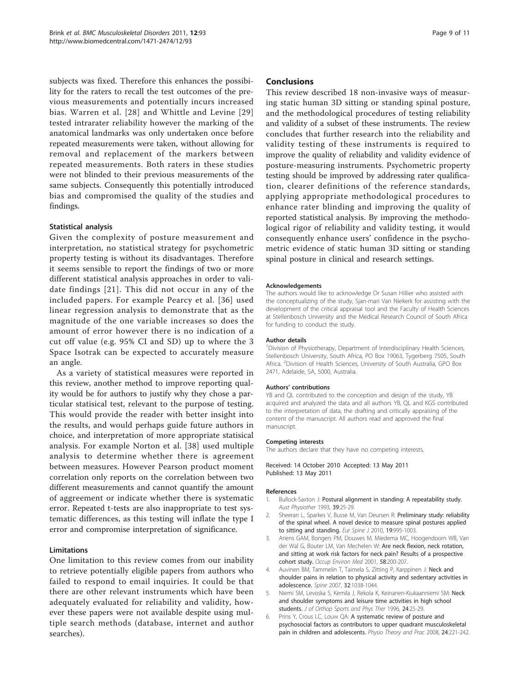<span id="page-8-0"></span>subjects was fixed. Therefore this enhances the possibility for the raters to recall the test outcomes of the previous measurements and potentially incurs increased bias. Warren et al. [[28](#page-9-0)] and Whittle and Levine [[29](#page-9-0)] tested intrarater reliability however the marking of the anatomical landmarks was only undertaken once before repeated measurements were taken, without allowing for removal and replacement of the markers between repeated measurements. Both raters in these studies were not blinded to their previous measurements of the same subjects. Consequently this potentially introduced bias and compromised the quality of the studies and findings.

#### Statistical analysis

Given the complexity of posture measurement and interpretation, no statistical strategy for psychometric property testing is without its disadvantages. Therefore it seems sensible to report the findings of two or more different statistical analysis approaches in order to validate findings [[21](#page-9-0)]. This did not occur in any of the included papers. For example Pearcy et al. [[36\]](#page-9-0) used linear regression analysis to demonstrate that as the magnitude of the one variable increases so does the amount of error however there is no indication of a cut off value (e.g. 95% CI and SD) up to where the 3 Space Isotrak can be expected to accurately measure an angle.

As a variety of statistical measures were reported in this review, another method to improve reporting quality would be for authors to justify why they chose a particular statisical test, relevant to the purpose of testing. This would provide the reader with better insight into the results, and would perhaps guide future authors in choice, and interpretation of more appropriate statisical analysis. For example Norton et al. [[38](#page-9-0)] used multiple analysis to determine whether there is agreement between measures. However Pearson product moment correlation only reports on the correlation between two different measurements and cannot quantify the amount of aggreement or indicate whether there is systematic error. Repeated t-tests are also inappropriate to test systematic differences, as this testing will inflate the type I error and compromise interpretation of significance.

#### Limitations

One limitation to this review comes from our inability to retrieve potentially eligible papers from authors who failed to respond to email inquiries. It could be that there are other relevant instruments which have been adequately evaluated for reliability and validity, however these papers were not available despite using multiple search methods (database, internet and author searches).

#### Conclusions

This review described 18 non-invasive ways of measuring static human 3D sitting or standing spinal posture, and the methodological procedures of testing reliability and validity of a subset of these instruments. The review concludes that further research into the reliability and validity testing of these instruments is required to improve the quality of reliability and validity evidence of posture-measuring instruments. Psychometric property testing should be improved by addressing rater qualification, clearer definitions of the reference standards, applying appropriate methodological procedures to enhance rater blinding and improving the quality of reported statistical analysis. By improving the methodological rigor of reliability and validity testing, it would consequently enhance users' confidence in the psychometric evidence of static human 3D sitting or standing spinal posture in clinical and research settings.

#### Acknowledgements

The authors would like to acknowledge Dr Susan Hillier who assisted with the conceptualizing of the study, Sjan-mari Van Niekerk for assisting with the development of the critical appraisal tool and the Faculty of Health Sciences at Stellenbosch University and the Medical Research Council of South Africa for funding to conduct the study.

#### Author details

<sup>1</sup> Division of Physiotherapy, Department of Interdisciplinary Health Sciences Stellenbosch University, South Africa, PO Box 19063, Tygerberg 7505, South Africa. <sup>2</sup> Division of Health Sciences, University of South Australia, GPO Box 2471, Adelaide, SA, 5000, Australia.

#### Authors' contributions

YB and QL contributed to the conception and design of the study, YB acquired and analyzed the data and all authors YB, QL and KGS contributed to the interpretation of data, the drafting and critically appraising of the content of the manuscript. All authors read and approved the final manuscript.

#### Competing interests

The authors declare that they have no competing interests.

Received: 14 October 2010 Accepted: 13 May 2011 Published: 13 May 2011

#### References

- 1. Bullock-Saxton J: Postural alignment in standing: A repeatability study. Aust Physiother 1993, 39:25-29.
- Sheeran L, Sparkes V, Busse M, Van Deursen R: [Preliminary study: reliability](http://www.ncbi.nlm.nih.gov/pubmed/20013001?dopt=Abstract) [of the spinal wheel. A novel device to measure spinal postures applied](http://www.ncbi.nlm.nih.gov/pubmed/20013001?dopt=Abstract) [to sitting and standing.](http://www.ncbi.nlm.nih.gov/pubmed/20013001?dopt=Abstract) Eur Spine J 2010, 19:995-1003.
- 3. Ariens GAM, Bongers PM, Douwes M, Miedema MC, Hoogendoorn WB, Van der Wal G, Bouter LM, Van Mechelen W: [Are neck flexion, neck rotation,](http://www.ncbi.nlm.nih.gov/pubmed/11171934?dopt=Abstract) [and sitting at work risk factors for neck pain? Results of a prospective](http://www.ncbi.nlm.nih.gov/pubmed/11171934?dopt=Abstract) [cohort study.](http://www.ncbi.nlm.nih.gov/pubmed/11171934?dopt=Abstract) Occup Environ Med 2001, 58:200-207.
- 4. Auvinen BM, Tammelin T, Taimela S, Zitting P, Karppinen J: [Neck and](http://www.ncbi.nlm.nih.gov/pubmed/17450080?dopt=Abstract) [shoulder pains in relation to physical activity and sedentary activities in](http://www.ncbi.nlm.nih.gov/pubmed/17450080?dopt=Abstract) [adolescence.](http://www.ncbi.nlm.nih.gov/pubmed/17450080?dopt=Abstract) Spine 2007, 32:1038-1044.
- Niemi SM, Levoska S, Kemila J, Rekola K, Keinanen-Kiukaanniemi SM: Neck and shoulder symptoms and leisure time activities in high school students. J of Orthop Sports and Phys Ther 1996, 24:25-29.
- 6. Prins Y, Crous LC, Louw QA: A systematic review of posture and psychosocial factors as contributors to upper quadrant musculoskeletal pain in children and adolescents. Physio Theory and Prac 2008, 24:221-242.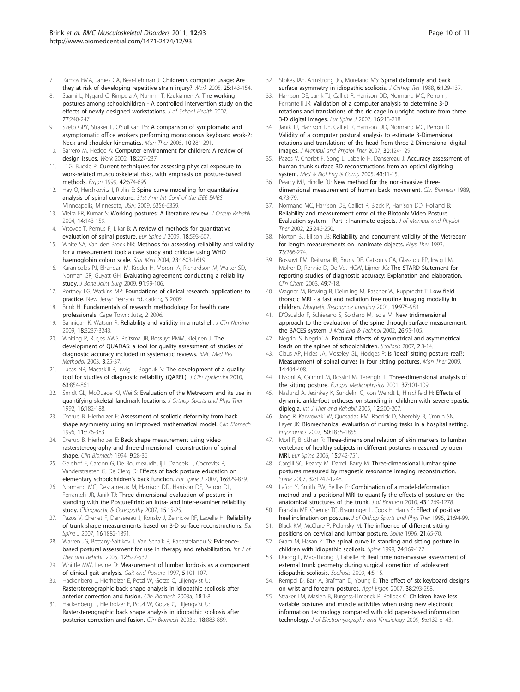- <span id="page-9-0"></span>7. Ramos EMA, James CA, Bear-Lehman J: Children'[s computer usage: Are](http://www.ncbi.nlm.nih.gov/pubmed/16131744?dopt=Abstract) [they at risk of developing repetitive strain injury?](http://www.ncbi.nlm.nih.gov/pubmed/16131744?dopt=Abstract) Work 2005, 25:143-154.
- Saarni L, Nygard C, Rimpela A, Nummi T, Kaukiainen A: The working postures among schoolchildren - A controlled intervention study on the effects of newly designed workstations. J of School Health 2007, 77:240-247.
- Szeto GPY, Straker L, O'Sullivan PB: [A comparison of symptomatic and](http://www.ncbi.nlm.nih.gov/pubmed/15996890?dopt=Abstract) [asymptomatic office workers performing monotonous keyboard work-2:](http://www.ncbi.nlm.nih.gov/pubmed/15996890?dopt=Abstract) [Neck and shoulder kinematics.](http://www.ncbi.nlm.nih.gov/pubmed/15996890?dopt=Abstract) Man Ther 2005, 10:281-291.
- 10. Barrero M, Hedge A: [Computer environment for children: A review of](http://www.ncbi.nlm.nih.gov/pubmed/12441563?dopt=Abstract) [design issues.](http://www.ncbi.nlm.nih.gov/pubmed/12441563?dopt=Abstract) Work 2002, 18:227-237.
- 11. Li G, Buckle P: Current techniques for assessing physical exposure to work-related musculoskeletal risks, with emphasis on posture-based methods. Ergon 1999, 42:674-695.
- 12. Hay O, Hershkovitz I, Rivlin E: Spine curve modelling for quantitative analysis of spinal curvature. 31st Ann Int Conf of the IEEE EMBS Minneapolis, Minnesota, USA; 2009, 6356-6359.
- 13. Vieira ER, Kumar S: [Working postures: A literature review.](http://www.ncbi.nlm.nih.gov/pubmed/15074366?dopt=Abstract) J Occup Rehabil 2004, 14:143-159.
- 14. Vrtovec T, Pernus F, Likar B: [A review of methods for quantitative](http://www.ncbi.nlm.nih.gov/pubmed/19247697?dopt=Abstract) [evaluation of spinal posture.](http://www.ncbi.nlm.nih.gov/pubmed/19247697?dopt=Abstract) Eur Spine J 2009, 18:593-607
- 15. White SA, Van den Broek NR: [Methods for assessing reliability and validity](http://www.ncbi.nlm.nih.gov/pubmed/15122740?dopt=Abstract) [for a measurement tool: a case study and critique using WHO](http://www.ncbi.nlm.nih.gov/pubmed/15122740?dopt=Abstract) [haemoglobin colour scale.](http://www.ncbi.nlm.nih.gov/pubmed/15122740?dopt=Abstract) Stat Med 2004, 23:1603-1619.
- 16. Karanicolas PJ, Bhandari M, Kreder H, Moroni A, Richardson M, Walter SD, Norman GR, Guyatt GH: [Evaluating agreement: conducting a reliability](http://www.ncbi.nlm.nih.gov/pubmed/19411507?dopt=Abstract) [study.](http://www.ncbi.nlm.nih.gov/pubmed/19411507?dopt=Abstract) J Bone Joint Surg 2009, 91:99-106.
- 17. Portney LG, Watkins MP: Foundations of clinical research: applications to practice. New Jersy: Pearson Education;, 3 2009.
- 18. Brink H: Fundamentals of research methodology for health care professionals. Cape Town: Juta;, 2 2006.
- 19. Bannigan K, Watson R: Reliability and validity in a nutshell. J Clin Nursing 2009, 18:3237-3243.
- 20. Whiting P, Rutjes AWS, Reitsma JB, Bossuyt PMM, Kleijnen J: [The](http://www.ncbi.nlm.nih.gov/pubmed/14606960?dopt=Abstract) [development of QUADAS: a tool for quality assessment of studies of](http://www.ncbi.nlm.nih.gov/pubmed/14606960?dopt=Abstract) [diagnostic accuracy included in systematic reviews.](http://www.ncbi.nlm.nih.gov/pubmed/14606960?dopt=Abstract) BMC Med Res Methodol 2003, 3:25-37.
- 21. Lucas NP, Macaskill P, Irwig L, Bogduk N: [The development of a quality](http://www.ncbi.nlm.nih.gov/pubmed/20056381?dopt=Abstract) [tool for studies of diagnostic reliability \(QAREL\).](http://www.ncbi.nlm.nih.gov/pubmed/20056381?dopt=Abstract) J Clin Epidemiol 2010, 63:854-861.
- 22. Smidt GL, McQuade KJ, Wei S: Evaluation of the Metrecom and its use in quantifying skeletal landmark locations. J Orthop Sports and Phys Ther 1992, 16:182-188.
- 23. Drerup B, Hierholzer E: Assessment of scoliotic deformity from back shape asymmetry using an improved mathematical model. Clin Biomech 1996, 11:376-383.
- 24. Drerup B, Hierholzer E: Back shape measurement using video rasterstereography and three-dimensional reconstruction of spinal shape. Clin Biomech 1994, 9:28-36.
- 25. Geldhof E, Cardon G, De Bourdeaudhuij I, Daneels L, Coorevits P, Vanderstraeten G, De Clerq D: [Effects of back posture education on](http://www.ncbi.nlm.nih.gov/pubmed/16944227?dopt=Abstract) [elementary schoolchildren](http://www.ncbi.nlm.nih.gov/pubmed/16944227?dopt=Abstract)'s back function. Eur Spine J 2007, 16:829-839.
- 26. Normand MC, Descarreaux M, Harrison DD, Harrison DE, Perron DL, Ferrantelli JR, Janik TJ: [Three dimensional evaluation of posture in](http://www.ncbi.nlm.nih.gov/pubmed/21541885?dopt=Abstract) [standing with the PosturePrint: an intra- and inter-examiner reliability](http://www.ncbi.nlm.nih.gov/pubmed/21541885?dopt=Abstract) [study.](http://www.ncbi.nlm.nih.gov/pubmed/21541885?dopt=Abstract) Chiropractic & Osteopathy 2007, 15:15-25.
- 27. Pazos V, Cheriet F, Dansereau J, Ronsky J, Zernicke RF, Labelle H: [Reliability](http://www.ncbi.nlm.nih.gov/pubmed/17701228?dopt=Abstract) [of trunk shape measurements based on 3-D surface reconstructions.](http://www.ncbi.nlm.nih.gov/pubmed/17701228?dopt=Abstract) Eur Spine 1 2007, **16**:1882-1891.
- 28. Warren JG, Bettany-Saltikov J, Van Schaik P, Papastefanou S: Evidencebased postural assessment for use in therapy and rehabilitation. Int J of Ther and Rehabil 2005, 12:527-532.
- 29. Whittle MW, Levine D: Measurement of lumbar lordosis as a component of clinical gait analysis. Gait and Posture 1997, 5:101-107.
- 30. Hackenberg L, Hierholzer E, Potzl W, Gotze C, Liljenqvist U: Rasterstereographic back shape analysis in idiopathic scoliosis after anterior correction and fusion. Clin Biomech 2003a, 18:1-8.
- 31. Hackenberg L, Hierholzer E, Potzl W, Gotze C, Liljenqvist U: Rasterstereographic back shape analysis in idiopathic scoliosis after posterior correction and fusion. Clin Biomech 2003b, 18:883-889.
- 32. Stokes JAF, Armstrong JG, Moreland MS: [Spinal deformity and back](http://www.ncbi.nlm.nih.gov/pubmed/3334733?dopt=Abstract) [surface asymmetry in idiopathic scoliosis.](http://www.ncbi.nlm.nih.gov/pubmed/3334733?dopt=Abstract) J Orthop Res 1988, 6:129-137.
- 33. Harrison DE, Janik TJ, Calliet R, Harrison DD, Normand MC, Perron , Ferrantelli JR: [Validation of a computer analysis to determine 3-D](http://www.ncbi.nlm.nih.gov/pubmed/16547756?dopt=Abstract) [rotations and translations of the ric cage in upright posture from three](http://www.ncbi.nlm.nih.gov/pubmed/16547756?dopt=Abstract) [3-D digital images.](http://www.ncbi.nlm.nih.gov/pubmed/16547756?dopt=Abstract) Eur Spine J 2007, 16:213-218.
- 34. Janik TJ, Harrison DE, Calliet R, Harrison DD, Normand MC, Perron DL: Validity of a computer postural analysis to estimate 3-Dimensional rotations and translations of the head from three 2-Dimensional digital images. J Manipul and Physiol Ther 2007, 30:124-129.
- 35. Pazos V, Cheriet F, Song L, Labelle H, Dansereau J: [Accuracy assessment of](http://www.ncbi.nlm.nih.gov/pubmed/21567439?dopt=Abstract) [human trunk surface 3D reconstructions from an optical digitising](http://www.ncbi.nlm.nih.gov/pubmed/21567439?dopt=Abstract) [system.](http://www.ncbi.nlm.nih.gov/pubmed/21567439?dopt=Abstract) Med & Biol Eng & Comp 2005, 43:11-15.
- Pearcy MJ, Hindle RJ: New method for the non-invasive threedimensional measurement of human back movement. Clin Biomech 1989, 4:73-79.
- 37. Normand MC, Harrison DE, Calliet R, Black P, Harrison DD, Holland B: Reliability and measurement error of the Biotonix Video Posture Evaluation system - Part I: Inanimate objects. J of Manipul and Physiol Ther 2002, 25:246-250.
- 38. Norton BJ, Ellison JB: [Reliability and concurrent validity of the Metrecom](http://www.ncbi.nlm.nih.gov/pubmed/8456145?dopt=Abstract) [for length measurements on inanimate objects.](http://www.ncbi.nlm.nih.gov/pubmed/8456145?dopt=Abstract) Phys Ther 1993, 73:266-274.
- 39. Bossuyt PM, Reitsma JB, Bruns DE, Gatsonis CA, Glasziou PP, Irwig LM, Moher D, Rennie D, De Vet HCW, Lijmer JG: [The STARD Statement for](http://www.ncbi.nlm.nih.gov/pubmed/12507954?dopt=Abstract) [reporting studies of diagnostic accuracy: Explanation and elaboration.](http://www.ncbi.nlm.nih.gov/pubmed/12507954?dopt=Abstract) Clin Chem 2003, 49:7-18.
- 40. Wagner M, Bowing B, Deimling M, Rascher W, Rupprecht T: [Low field](http://www.ncbi.nlm.nih.gov/pubmed/11595369?dopt=Abstract) [thoracic MRI - a fast and radiation free routine imaging modality in](http://www.ncbi.nlm.nih.gov/pubmed/11595369?dopt=Abstract) [children.](http://www.ncbi.nlm.nih.gov/pubmed/11595369?dopt=Abstract) Magnetic Resonance Imaging 2001, 19:975-983.
- 41. D'Osualdo F, Schierano S, Soldano M, Isola M: [New tridimensional](http://www.ncbi.nlm.nih.gov/pubmed/9151198?dopt=Abstract) [approach to the evaluation of the spine through surface measurement:](http://www.ncbi.nlm.nih.gov/pubmed/9151198?dopt=Abstract) [the BACES system.](http://www.ncbi.nlm.nih.gov/pubmed/9151198?dopt=Abstract) J Med Eng & Technol 2002, 26:95-105.
- 42. Negrini S, Negrini A: [Postural effects of symmetrical and asymmetrical](http://www.ncbi.nlm.nih.gov/pubmed/17620121?dopt=Abstract) [loads on the spines of schoolchildren.](http://www.ncbi.nlm.nih.gov/pubmed/17620121?dopt=Abstract) Scoliosis 2007, 2:8-14.
- 43. Claus AP, Hides JA, Moseley GL, Hodges P: Is 'ideal' [sitting posture real?:](http://www.ncbi.nlm.nih.gov/pubmed/18793867?dopt=Abstract) [Measurement of spinal curves in four sitting postures.](http://www.ncbi.nlm.nih.gov/pubmed/18793867?dopt=Abstract) Man Ther 2009, 14:404-408.
- 44. Lissoni A, Caimmi M, Rossini M, Terenghi L: Three-dimensional analysis of the sitting posture. Europa Medicophysica 2001, 37:101-109.
- 45. Naslund A, Jesinkey K, Sundelin G, von Wendt L, Hirschfeld H: Effects of dynamic ankle-foot orthoses on standing in children with severe spastic diplegia. Int J Ther and Rehabil 2005, 12:200-207.
- 46. Jang R, Karwowski W, Quesadas PM, Rodrick D, Sherehiy B, Cronin SN, Layer JK: [Biomechanical evaluation of nursing tasks in a hospital setting.](http://www.ncbi.nlm.nih.gov/pubmed/17972205?dopt=Abstract) Ergonomics 2007, 50:1835-1855.
- 47. Morl F, Blickhan R: Three-dimensional relation of skin markers to lumbar vertebrae of healthy subjects in different postures measured by open MRI. Eur Spine 2006, 15:742-751.
- 48. Cargill SC, Pearcy M, Darrell Barry M: [Three-dimensional lumbar spine](http://www.ncbi.nlm.nih.gov/pubmed/17495783?dopt=Abstract) [postures measured by magnetic resonance imaging reconstruction.](http://www.ncbi.nlm.nih.gov/pubmed/17495783?dopt=Abstract) Spine 2007, 32:1242-1248.
- 49. Lafon Y, Smith FW, Beillas P: Combination of a model-deformation method and a positional MRI to quantify the effects of posture on the anatomical structures of the trunk. J of Biomech 2010, 43:1269-1278.
- 50. Franklin ME, Chenier TC, Brauninger L, Cook H, Harris S: Effect of positive heel inclination on posture. J of Orthop Sports and Phys Ther 1995, 21:94-99.
- 51. Black KM, McClure P, Polansky M: [The influence of different sitting](http://www.ncbi.nlm.nih.gov/pubmed/9122765?dopt=Abstract) [positions on cervical and lumbar posture.](http://www.ncbi.nlm.nih.gov/pubmed/9122765?dopt=Abstract) Spine 1996, 21:65-70.
- 52. Gram M, Hasan Z: [The spinal curve in standing and sitting posture in](http://www.ncbi.nlm.nih.gov/pubmed/9926389?dopt=Abstract) [children with idiopathic scoliosis.](http://www.ncbi.nlm.nih.gov/pubmed/9926389?dopt=Abstract) Spine 1999, 24:169-177.
- 53. Duong L, Mac-Thiong J, Labelle H: [Real time non-invasive assessment of](http://www.ncbi.nlm.nih.gov/pubmed/19239713?dopt=Abstract) [external trunk geometry during surgical correction of adolescent](http://www.ncbi.nlm.nih.gov/pubmed/19239713?dopt=Abstract) [idiopathic scoliosis.](http://www.ncbi.nlm.nih.gov/pubmed/19239713?dopt=Abstract) Scoliosis 2009, 4:5-15.
- Rempel D, Barr A, Brafman D, Young E: [The effect of six keyboard designs](http://www.ncbi.nlm.nih.gov/pubmed/16806042?dopt=Abstract) [on wrist and forearm postures.](http://www.ncbi.nlm.nih.gov/pubmed/16806042?dopt=Abstract) Appl Ergon 2007, 38:293-298.
- 55. Straker LM, Maslen B, Burgess-Limerick R, Pollock C: Children have less variable postures and muscle activities when using new electronic information technology compared with old paper-based information technology. J of Electromyography and Kinesiology 2009, 9:e132-e143.